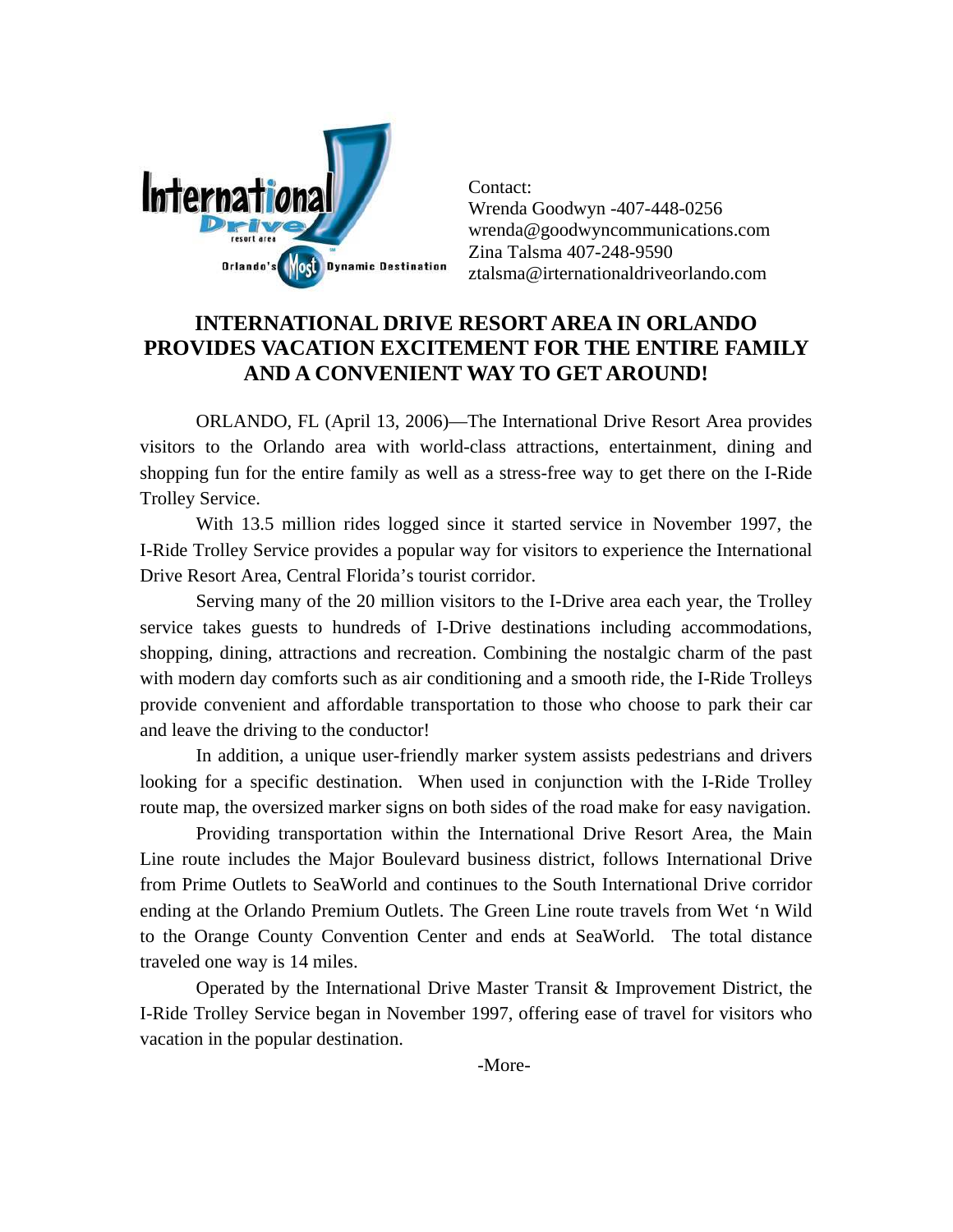

Contact: Wrenda Goodwyn -407-448-0256 wrenda@goodwyncommunications.com Zina Talsma 407-248-9590 ztalsma@irternationaldriveorlando.com

## **INTERNATIONAL DRIVE RESORT AREA IN ORLANDO PROVIDES VACATION EXCITEMENT FOR THE ENTIRE FAMILY AND A CONVENIENT WAY TO GET AROUND!**

ORLANDO, FL (April 13, 2006)—The International Drive Resort Area provides visitors to the Orlando area with world-class attractions, entertainment, dining and shopping fun for the entire family as well as a stress-free way to get there on the I-Ride Trolley Service.

With 13.5 million rides logged since it started service in November 1997, the I-Ride Trolley Service provides a popular way for visitors to experience the International Drive Resort Area, Central Florida's tourist corridor.

Serving many of the 20 million visitors to the I-Drive area each year, the Trolley service takes guests to hundreds of I-Drive destinations including accommodations, shopping, dining, attractions and recreation. Combining the nostalgic charm of the past with modern day comforts such as air conditioning and a smooth ride, the I-Ride Trolleys provide convenient and affordable transportation to those who choose to park their car and leave the driving to the conductor!

In addition, a unique user-friendly marker system assists pedestrians and drivers looking for a specific destination. When used in conjunction with the I-Ride Trolley route map, the oversized marker signs on both sides of the road make for easy navigation.

Providing transportation within the International Drive Resort Area, the Main Line route includes the Major Boulevard business district, follows International Drive from Prime Outlets to SeaWorld and continues to the South International Drive corridor ending at the Orlando Premium Outlets. The Green Line route travels from Wet 'n Wild to the Orange County Convention Center and ends at SeaWorld. The total distance traveled one way is 14 miles.

Operated by the International Drive Master Transit & Improvement District, the I-Ride Trolley Service began in November 1997, offering ease of travel for visitors who vacation in the popular destination.

-More-